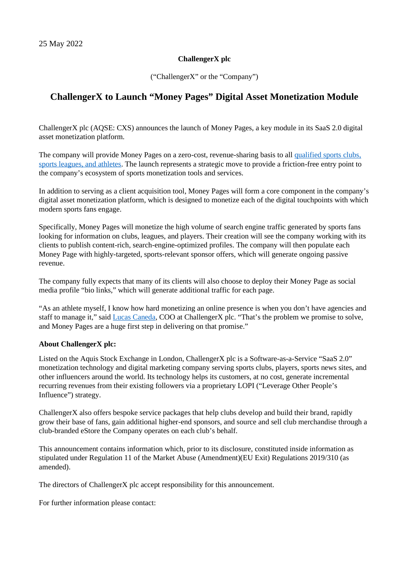## **ChallengerX plc**

("ChallengerX" or the "Company")

## **ChallengerX to Launch "Money Pages" Digital Asset Monetization Module**

ChallengerX plc (AQSE: CXS) announces the launch of Money Pages, a key module in its SaaS 2.0 digital asset monetization platform.

The company will provide Money Pages on a zero-cost, revenue-sharing basis to all [qualified sports](https://cxsports.io/) clubs, [sports leagues, and athletes.](https://cxsports.io/) The launch represents a strategic move to provide a friction-free entry point to the company's ecosystem of sports monetization tools and services.

In addition to serving as a client acquisition tool, Money Pages will form a core component in the company's digital asset monetization platform, which is designed to monetize each of the digital touchpoints with which modern sports fans engage.

Specifically, Money Pages will monetize the high volume of search engine traffic generated by sports fans looking for information on clubs, leagues, and players. Their creation will see the company working with its clients to publish content-rich, search-engine-optimized profiles. The company will then populate each Money Page with highly-targeted, sports-relevant sponsor offers, which will generate ongoing passive revenue.

The company fully expects that many of its clients will also choose to deploy their Money Page as social media profile "bio links," which will generate additional traffic for each page.

"As an athlete myself, I know how hard monetizing an online presence is when you don't have agencies and staff to manage it," said [Lucas Caneda](https://cxsports.io/player/official-lucas-caneda-rugby-player-profile/), COO at ChallengerX plc. "That's the problem we promise to solve, and Money Pages are a huge first step in delivering on that promise."

## **About ChallengerX plc:**

Listed on the Aquis Stock Exchange in London, ChallengerX plc is a Software-as-a-Service "SaaS 2.0" monetization technology and digital marketing company serving sports clubs, players, sports news sites, and other influencers around the world. Its technology helps its customers, at no cost, generate incremental recurring revenues from their existing followers via a proprietary LOPI ("Leverage Other People's Influence") strategy.

ChallengerX also offers bespoke service packages that help clubs develop and build their brand, rapidly grow their base of fans, gain additional higher-end sponsors, and source and sell club merchandise through a club-branded eStore the Company operates on each club's behalf.

This announcement contains information which, prior to its disclosure, constituted inside information as stipulated under Regulation 11 of the Market Abuse (Amendment)(EU Exit) Regulations 2019/310 (as amended).

The directors of ChallengerX plc accept responsibility for this announcement.

For further information please contact: